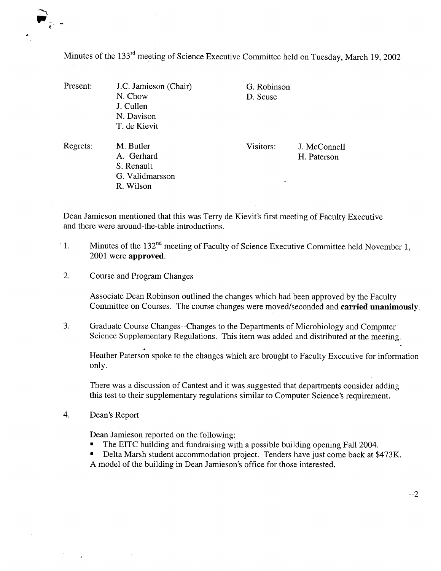Minutes of the 133rd meeting of Science Executive Committee held on Tuesday, March 19, 2002

| Present: | J.C. Jamieson (Chair)<br>N. Chow | D. Scuse  | G. Robinson  |  |
|----------|----------------------------------|-----------|--------------|--|
|          | J. Cullen                        |           |              |  |
|          | N. Davison                       |           |              |  |
|          | T. de Kievit                     |           |              |  |
| Regrets: | M. Butler                        | Visitors: | J. McConnell |  |
|          | A. Gerhard                       |           | H. Paterson  |  |
|          | S. Renault                       |           |              |  |
|          | G. Validmarsson                  |           |              |  |
|          | R. Wilson                        | ╭         |              |  |

Dean Jamieson mentioned that this was Terry de Kievit's first meeting of Faculty Executive and there were around-the-table introductions.

- Minutes of the 132<sup>nd</sup> meeting of Faculty of Science Executive Committee held November 1,  $\cdot$ 1. 2001 were **approved.**
- 2. Course and Program Changes

Associate Dean Robinson outlined the changes which had been approved by the Faculty Committee on Courses. The course changes were moved/seconded and **carried unanimously.** 

3. Graduate Course Changes--Changes to the Departments of Microbiology and Computer Science Supplementary Regulations. This item was added and distributed at the meeting.

Heather Paterson spoke to the changes which are brought to Faculty Executive for information only.

There was a discussion of Cantest and it was suggested that departments consider adding this test to their supplementary regulations similar to Computer Science's requirement.

 $\overline{4}$ . Dean's Report

Dean Jamieson reported on the following:

- The ETTC building and fundraising with a possible building opening Fall 2004.
- Delta Marsh student accommodation project. Tenders have just come back at \$473K. A model of the building in Dean Jamieson's office for those interested.

--2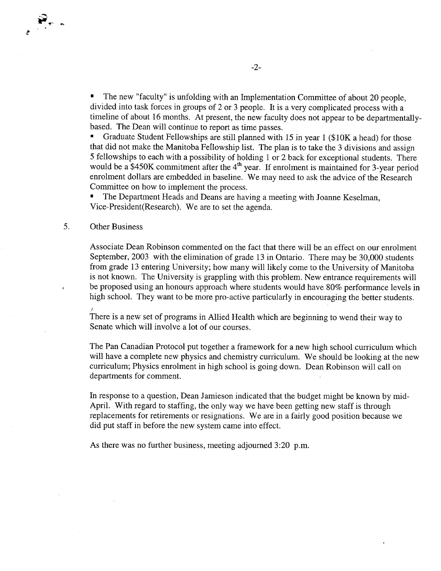The new "faculty" is unfolding with an Implementation Committee of about 20 people,  $\blacksquare$ divided into task forces in groups of 2 or 3 people. It is a very complicated process with a timeline of about 16 months. At present, the new faculty does not appear to be departmentallybased. The Dean will continue to report as time passes.

Graduate Student Fellowships are still planned with 15 in year 1 (\$1OK a head) for those that did not make the Manitoba Fellowship list. The plan is to take the 3 divisions and assign 5 fellowships to each with a possibility of holding 1 or 2 back for exceptional students. There would be a \$450K commitment after the  $4<sup>th</sup>$  year. If enrolment is maintained for 3-year period enrolment dollars are embedded in baseline. We may need to ask the advice of the Research Committee on how to implement the process.

The Department Heads and Deans are having a meeting with Joanne Keselman, Vice-President(Research). We are to set the agenda.

## 5. Other Business

Associate Dean Robinson commented on the fact that there will be an effect on our enrolment September, 2003 with the elimination of grade 13 in Ontario. There may be 30,000 students from grade 13 entering University; how many will likely come to the University of Manitoba is not known. The University is grappling with this problem. New entrance requirements will be proposed using an honours approach where students would have 80% performance levels in high school. They want to be more pro-active particularly in encouraging the better students.

There is a new set of programs in Allied Health which are beginning to wend their way to Senate which will involve a lot of our courses.

The Pan Canadian Protocol put together a framework for a new high school curriculum which will have a complete new physics and chemistry curriculum. We should be looking at the new curriculum; Physics enrolment in high school is going down. Dean Robinson will call on departments for comment.

In response to a question, Dean Jamieson indicated that the budget might be known by mid-April. With regard to staffing, the only way we have been getting new staff is through replacements for retirements or resignations. We are in a fairly good position because we did put staff in before the new system came into effect.

As there was no further business, meeting adjourned 3:20 p.m.